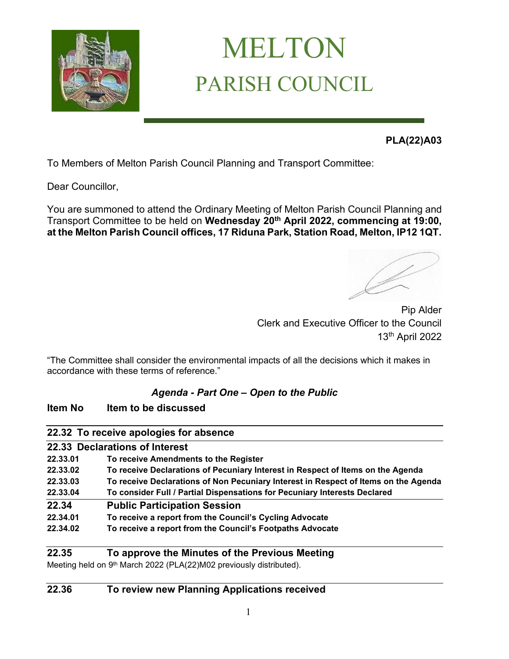

# MELTON PARISH COUNCIL

**PLA(22)A03** 

To Members of Melton Parish Council Planning and Transport Committee:

Dear Councillor,

You are summoned to attend the Ordinary Meeting of Melton Parish Council Planning and Transport Committee to be held on **Wednesday 20th April 2022, commencing at 19:00, at the Melton Parish Council offices, 17 Riduna Park, Station Road, Melton, IP12 1QT.** 

Pip Alder Clerk and Executive Officer to the Council 13th April 2022

"The Committee shall consider the environmental impacts of all the decisions which it makes in accordance with these terms of reference."

## *Agenda - Part One – Open to the Public*

## **Item No Item to be discussed**

|          | 22.32 To receive apologies for absence                                              |
|----------|-------------------------------------------------------------------------------------|
|          | 22.33 Declarations of Interest                                                      |
| 22.33.01 | To receive Amendments to the Register                                               |
| 22.33.02 | To receive Declarations of Pecuniary Interest in Respect of Items on the Agenda     |
| 22.33.03 | To receive Declarations of Non Pecuniary Interest in Respect of Items on the Agenda |
| 22.33.04 | To consider Full / Partial Dispensations for Pecuniary Interests Declared           |
| 22.34    | <b>Public Participation Session</b>                                                 |
| 22.34.01 | To receive a report from the Council's Cycling Advocate                             |
| 22.34.02 | To receive a report from the Council's Footpaths Advocate                           |
|          |                                                                                     |

## **22.35 To approve the Minutes of the Previous Meeting**

Meeting held on 9<sup>th</sup> March 2022 (PLA(22)M02 previously distributed).

## **22.36 To review new Planning Applications received**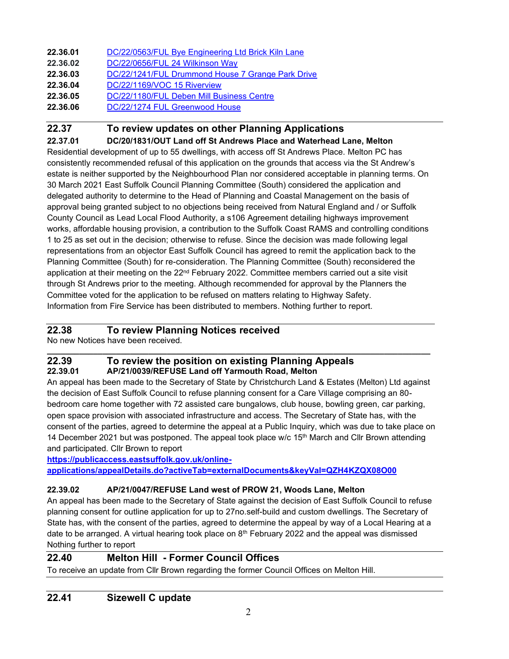| 22.36.01 | DC/22/0563/FUL Bye Engineering Ltd Brick Kiln Lane |
|----------|----------------------------------------------------|
|          |                                                    |

- **22.36.02** [DC/22/0656/FUL 24 Wilkinson Way](https://publicaccess.eastsuffolk.gov.uk/online-applications/applicationDetails.do?activeTab=summary&keyVal=R7GKH7QXJ5J00)
- **22.36.03** [DC/22/1241/FUL Drummond House 7 Grange Park Drive](https://publicaccess.eastsuffolk.gov.uk/online-applications/applicationDetails.do?activeTab=summary&keyVal=R9JSQAQXK0G00)
- **22.36.04** [DC/22/1169/VOC 15 Riverview](https://publicaccess.eastsuffolk.gov.uk/online-applications/applicationDetails.do?activeTab=summary&keyVal=R99B1RQX07400)
- **22.36.05** [DC/22/1180/FUL Deben Mill Business Centre](https://publicaccess.eastsuffolk.gov.uk/online-applications/applicationDetails.do?activeTab=summary&keyVal=R9AX91QXJWW00)
- **22.36.06** [DC/22/1274 FUL Greenwood](https://publicaccess.eastsuffolk.gov.uk/online-applications/applicationDetails.do?activeTab=summary&keyVal=R9NF9AQXK2800) House

## **22.37 To review updates on other Planning Applications**

**22.37.01 DC/20/1831/OUT Land off St Andrews Place and Waterhead Lane, Melton**

Residential development of up to 55 dwellings, with access off St Andrews Place. Melton PC has consistently recommended refusal of this application on the grounds that access via the St Andrew's estate is neither supported by the Neighbourhood Plan nor considered acceptable in planning terms. On 30 March 2021 East Suffolk Council Planning Committee (South) considered the application and delegated authority to determine to the Head of Planning and Coastal Management on the basis of approval being granted subject to no objections being received from Natural England and / or Suffolk County Council as Lead Local Flood Authority, a s106 Agreement detailing highways improvement works, affordable housing provision, a contribution to the Suffolk Coast RAMS and controlling conditions 1 to 25 as set out in the decision; otherwise to refuse. Since the decision was made following legal representations from an objector East Suffolk Council has agreed to remit the application back to the Planning Committee (South) for re-consideration. The Planning Committee (South) reconsidered the application at their meeting on the 22<sup>nd</sup> February 2022. Committee members carried out a site visit through St Andrews prior to the meeting. Although recommended for approval by the Planners the Committee voted for the application to be refused on matters relating to Highway Safety. Information from Fire Service has been distributed to members. Nothing further to report.

## **22.38 To review Planning Notices received**

No new Notices have been received.

#### **\_\_\_\_\_\_\_\_\_\_\_\_\_\_\_\_\_\_\_\_\_\_\_\_\_\_\_\_\_\_\_\_\_\_\_\_\_\_\_\_\_\_\_\_\_\_\_\_\_\_\_\_\_\_\_\_\_\_\_\_\_\_\_\_\_\_\_\_\_\_\_\_\_\_\_\_\_\_\_\_\_\_\_ 22.39 To review the position on existing Planning Appeals 22.39.01 AP/21/0039/REFUSE Land off Yarmouth Road, Melton**

An appeal has been made to the Secretary of State by Christchurch Land & Estates (Melton) Ltd against the decision of East Suffolk Council to refuse planning consent for a Care Village comprising an 80 bedroom care home together with 72 assisted care bungalows, club house, bowling green, car parking, open space provision with associated infrastructure and access. The Secretary of State has, with the consent of the parties, agreed to determine the appeal at a Public Inquiry, which was due to take place on 14 December 2021 but was postponed. The appeal took place w/c  $15<sup>th</sup>$  March and Cllr Brown attending and participated. Cllr Brown to report

**[https://publicaccess.eastsuffolk.gov.uk/online](https://publicaccess.eastsuffolk.gov.uk/online-applications/appealDetails.do?activeTab=externalDocuments&keyVal=QZH4KZQX08O00)[applications/appealDetails.do?activeTab=externalDocuments&keyVal=QZH4KZQX08O00](https://publicaccess.eastsuffolk.gov.uk/online-applications/appealDetails.do?activeTab=externalDocuments&keyVal=QZH4KZQX08O00)**

## **22.39.02 AP/21/0047/REFUSE Land west of PROW 21, Woods Lane, Melton**

An appeal has been made to the Secretary of State against the decision of East Suffolk Council to refuse planning consent for outline application for up to 27no.self-build and custom dwellings. The Secretary of State has, with the consent of the parties, agreed to determine the appeal by way of a Local Hearing at a date to be arranged. A virtual hearing took place on  $8<sup>th</sup>$  February 2022 and the appeal was dismissed Nothing further to report

## **22.40 Melton Hill - Former Council Offices**

To receive an update from Cllr Brown regarding the former Council Offices on Melton Hill.